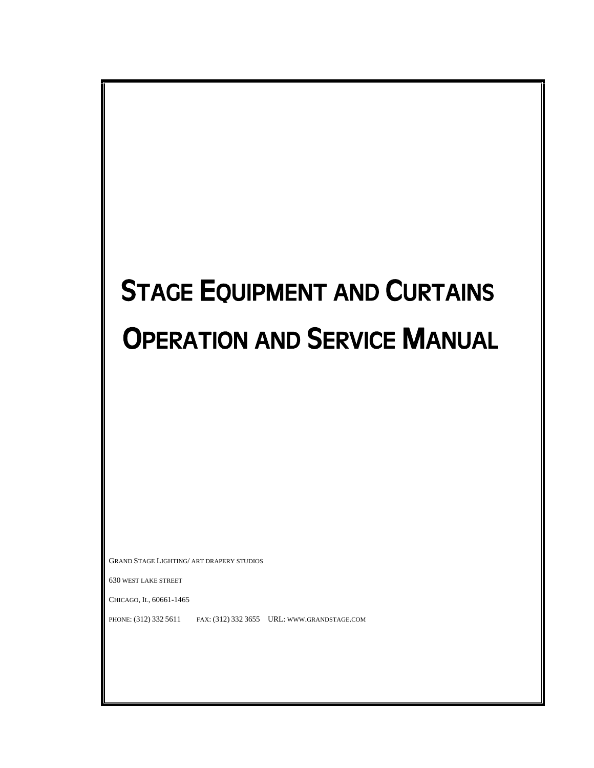# STAGE EQUIPMENT AND CURTAINS OPERATION AND SERVICE MANUAL

GRAND STAGE LIGHTING/ ART DRAPERY STUDIOS

630 WEST LAKE STREET

CHICAGO, IL, 60661-1465

PHONE: (312) 332 5611 FAX: (312) 332 3655 URL: WWW.GRANDSTAGE.COM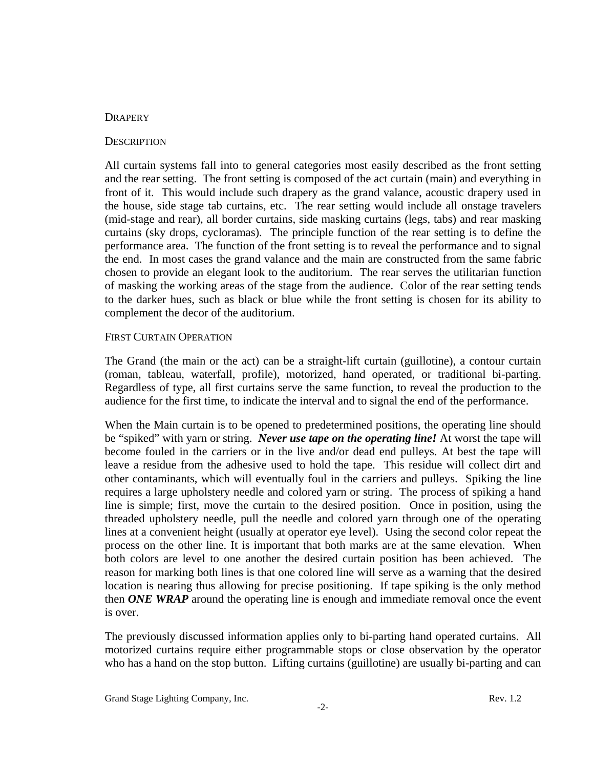## **DRAPERY**

## **DESCRIPTION**

All curtain systems fall into to general categories most easily described as the front setting and the rear setting. The front setting is composed of the act curtain (main) and everything in front of it. This would include such drapery as the grand valance, acoustic drapery used in the house, side stage tab curtains, etc. The rear setting would include all onstage travelers (mid-stage and rear), all border curtains, side masking curtains (legs, tabs) and rear masking curtains (sky drops, cycloramas). The principle function of the rear setting is to define the performance area. The function of the front setting is to reveal the performance and to signal the end. In most cases the grand valance and the main are constructed from the same fabric chosen to provide an elegant look to the auditorium. The rear serves the utilitarian function of masking the working areas of the stage from the audience. Color of the rear setting tends to the darker hues, such as black or blue while the front setting is chosen for its ability to complement the decor of the auditorium.

## FIRST CURTAIN OPERATION

The Grand (the main or the act) can be a straight-lift curtain (guillotine), a contour curtain (roman, tableau, waterfall, profile), motorized, hand operated, or traditional bi-parting. Regardless of type, all first curtains serve the same function, to reveal the production to the audience for the first time, to indicate the interval and to signal the end of the performance.

When the Main curtain is to be opened to predetermined positions, the operating line should be "spiked" with yarn or string. *Never use tape on the operating line!* At worst the tape will become fouled in the carriers or in the live and/or dead end pulleys. At best the tape will leave a residue from the adhesive used to hold the tape. This residue will collect dirt and other contaminants, which will eventually foul in the carriers and pulleys. Spiking the line requires a large upholstery needle and colored yarn or string. The process of spiking a hand line is simple; first, move the curtain to the desired position. Once in position, using the threaded upholstery needle, pull the needle and colored yarn through one of the operating lines at a convenient height (usually at operator eye level). Using the second color repeat the process on the other line. It is important that both marks are at the same elevation. When both colors are level to one another the desired curtain position has been achieved. The reason for marking both lines is that one colored line will serve as a warning that the desired location is nearing thus allowing for precise positioning. If tape spiking is the only method then *ONE WRAP* around the operating line is enough and immediate removal once the event is over.

The previously discussed information applies only to bi-parting hand operated curtains. All motorized curtains require either programmable stops or close observation by the operator who has a hand on the stop button. Lifting curtains (guillotine) are usually bi-parting and can

Grand Stage Lighting Company, Inc.  $\qquad \qquad$  Rev. 1.2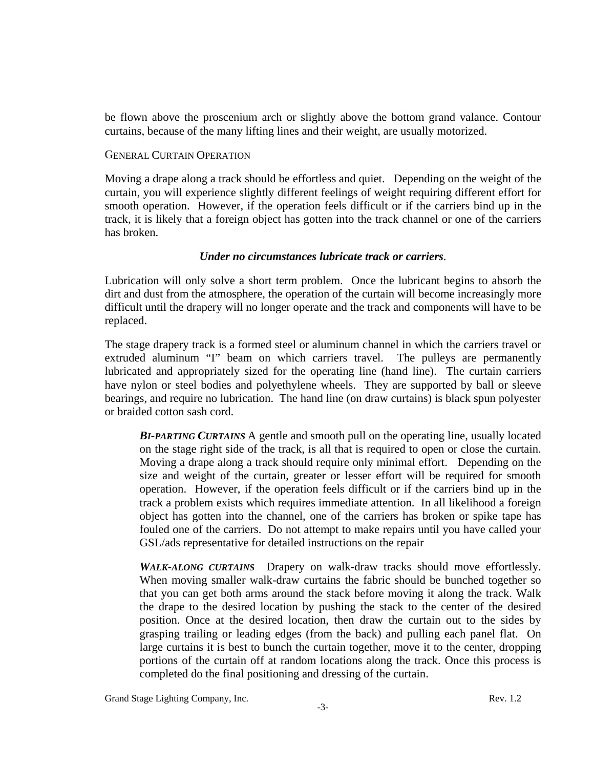be flown above the proscenium arch or slightly above the bottom grand valance. Contour curtains, because of the many lifting lines and their weight, are usually motorized.

## GENERAL CURTAIN OPERATION

Moving a drape along a track should be effortless and quiet. Depending on the weight of the curtain, you will experience slightly different feelings of weight requiring different effort for smooth operation. However, if the operation feels difficult or if the carriers bind up in the track, it is likely that a foreign object has gotten into the track channel or one of the carriers has broken.

## *Under no circumstances lubricate track or carriers*.

Lubrication will only solve a short term problem. Once the lubricant begins to absorb the dirt and dust from the atmosphere, the operation of the curtain will become increasingly more difficult until the drapery will no longer operate and the track and components will have to be replaced.

The stage drapery track is a formed steel or aluminum channel in which the carriers travel or extruded aluminum "I" beam on which carriers travel. The pulleys are permanently lubricated and appropriately sized for the operating line (hand line). The curtain carriers have nylon or steel bodies and polyethylene wheels. They are supported by ball or sleeve bearings, and require no lubrication. The hand line (on draw curtains) is black spun polyester or braided cotton sash cord.

*BI-PARTING CURTAINS* A gentle and smooth pull on the operating line, usually located on the stage right side of the track, is all that is required to open or close the curtain. Moving a drape along a track should require only minimal effort. Depending on the size and weight of the curtain, greater or lesser effort will be required for smooth operation. However, if the operation feels difficult or if the carriers bind up in the track a problem exists which requires immediate attention. In all likelihood a foreign object has gotten into the channel, one of the carriers has broken or spike tape has fouled one of the carriers. Do not attempt to make repairs until you have called your GSL/ads representative for detailed instructions on the repair

*WALK-ALONG CURTAINS* Drapery on walk-draw tracks should move effortlessly. When moving smaller walk-draw curtains the fabric should be bunched together so that you can get both arms around the stack before moving it along the track. Walk the drape to the desired location by pushing the stack to the center of the desired position. Once at the desired location, then draw the curtain out to the sides by grasping trailing or leading edges (from the back) and pulling each panel flat. On large curtains it is best to bunch the curtain together, move it to the center, dropping portions of the curtain off at random locations along the track. Once this process is completed do the final positioning and dressing of the curtain.

Grand Stage Lighting Company, Inc. **Rev. 1.2** Rev. 1.2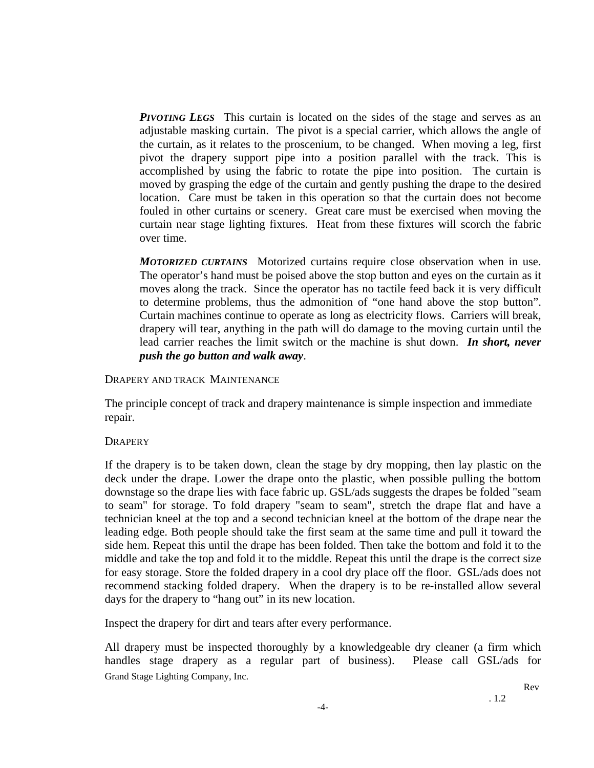*PIVOTING LEGS* This curtain is located on the sides of the stage and serves as an adjustable masking curtain. The pivot is a special carrier, which allows the angle of the curtain, as it relates to the proscenium, to be changed. When moving a leg, first pivot the drapery support pipe into a position parallel with the track. This is accomplished by using the fabric to rotate the pipe into position. The curtain is moved by grasping the edge of the curtain and gently pushing the drape to the desired location. Care must be taken in this operation so that the curtain does not become fouled in other curtains or scenery. Great care must be exercised when moving the curtain near stage lighting fixtures. Heat from these fixtures will scorch the fabric over time.

*MOTORIZED CURTAINS* Motorized curtains require close observation when in use. The operator's hand must be poised above the stop button and eyes on the curtain as it moves along the track. Since the operator has no tactile feed back it is very difficult to determine problems, thus the admonition of "one hand above the stop button". Curtain machines continue to operate as long as electricity flows. Carriers will break, drapery will tear, anything in the path will do damage to the moving curtain until the lead carrier reaches the limit switch or the machine is shut down. *In short, never push the go button and walk away*.

## DRAPERY AND TRACK MAINTENANCE

The principle concept of track and drapery maintenance is simple inspection and immediate repair.

## **DRAPERY**

If the drapery is to be taken down, clean the stage by dry mopping, then lay plastic on the deck under the drape. Lower the drape onto the plastic, when possible pulling the bottom downstage so the drape lies with face fabric up. GSL/ads suggests the drapes be folded "seam to seam" for storage. To fold drapery "seam to seam", stretch the drape flat and have a technician kneel at the top and a second technician kneel at the bottom of the drape near the leading edge. Both people should take the first seam at the same time and pull it toward the side hem. Repeat this until the drape has been folded. Then take the bottom and fold it to the middle and take the top and fold it to the middle. Repeat this until the drape is the correct size for easy storage. Store the folded drapery in a cool dry place off the floor. GSL/ads does not recommend stacking folded drapery. When the drapery is to be re-installed allow several days for the drapery to "hang out" in its new location.

Inspect the drapery for dirt and tears after every performance.

Grand Stage Lighting Company, Inc. All drapery must be inspected thoroughly by a knowledgeable dry cleaner (a firm which handles stage drapery as a regular part of business). Please call GSL/ads for

Rev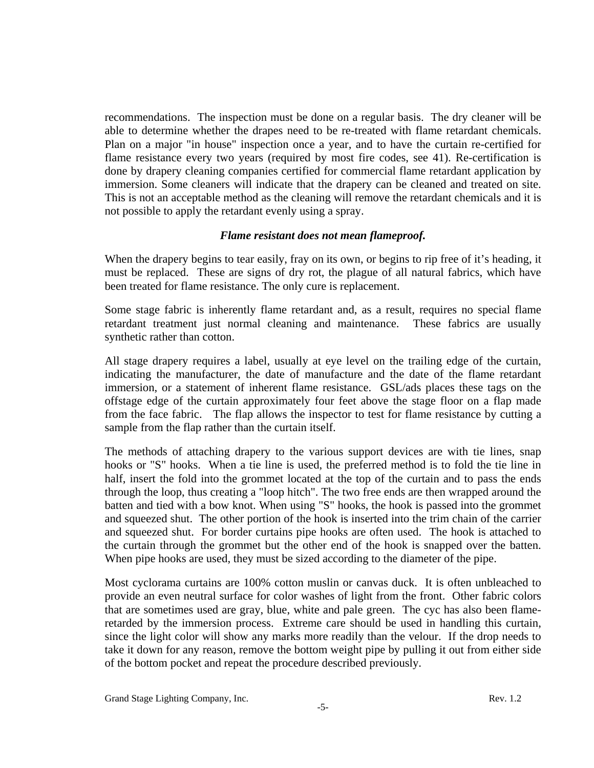recommendations. The inspection must be done on a regular basis. The dry cleaner will be able to determine whether the drapes need to be re-treated with flame retardant chemicals. Plan on a major "in house" inspection once a year, and to have the curtain re-certified for flame resistance every two years (required by most fire codes, see 41). Re-certification is done by drapery cleaning companies certified for commercial flame retardant application by immersion. Some cleaners will indicate that the drapery can be cleaned and treated on site. This is not an acceptable method as the cleaning will remove the retardant chemicals and it is not possible to apply the retardant evenly using a spray.

## *Flame resistant does not mean flameproof.*

When the drapery begins to tear easily, fray on its own, or begins to rip free of it's heading, it must be replaced. These are signs of dry rot, the plague of all natural fabrics, which have been treated for flame resistance. The only cure is replacement.

Some stage fabric is inherently flame retardant and, as a result, requires no special flame retardant treatment just normal cleaning and maintenance. These fabrics are usually synthetic rather than cotton.

All stage drapery requires a label, usually at eye level on the trailing edge of the curtain, indicating the manufacturer, the date of manufacture and the date of the flame retardant immersion, or a statement of inherent flame resistance. GSL/ads places these tags on the offstage edge of the curtain approximately four feet above the stage floor on a flap made from the face fabric. The flap allows the inspector to test for flame resistance by cutting a sample from the flap rather than the curtain itself.

The methods of attaching drapery to the various support devices are with tie lines, snap hooks or "S" hooks. When a tie line is used, the preferred method is to fold the tie line in half, insert the fold into the grommet located at the top of the curtain and to pass the ends through the loop, thus creating a "loop hitch". The two free ends are then wrapped around the batten and tied with a bow knot. When using "S" hooks, the hook is passed into the grommet and squeezed shut. The other portion of the hook is inserted into the trim chain of the carrier and squeezed shut. For border curtains pipe hooks are often used. The hook is attached to the curtain through the grommet but the other end of the hook is snapped over the batten. When pipe hooks are used, they must be sized according to the diameter of the pipe.

Most cyclorama curtains are 100% cotton muslin or canvas duck. It is often unbleached to provide an even neutral surface for color washes of light from the front. Other fabric colors that are sometimes used are gray, blue, white and pale green. The cyc has also been flameretarded by the immersion process. Extreme care should be used in handling this curtain, since the light color will show any marks more readily than the velour. If the drop needs to take it down for any reason, remove the bottom weight pipe by pulling it out from either side of the bottom pocket and repeat the procedure described previously.

Grand Stage Lighting Company, Inc.  $\qquad \qquad$  Rev. 1.2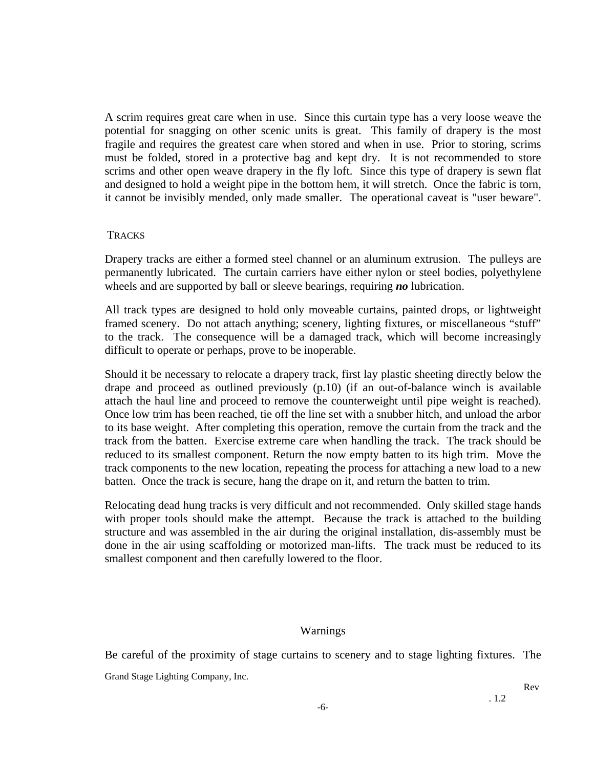A scrim requires great care when in use. Since this curtain type has a very loose weave the potential for snagging on other scenic units is great. This family of drapery is the most fragile and requires the greatest care when stored and when in use. Prior to storing, scrims must be folded, stored in a protective bag and kept dry. It is not recommended to store scrims and other open weave drapery in the fly loft. Since this type of drapery is sewn flat and designed to hold a weight pipe in the bottom hem, it will stretch. Once the fabric is torn, it cannot be invisibly mended, only made smaller. The operational caveat is "user beware".

#### **TRACKS**

Drapery tracks are either a formed steel channel or an aluminum extrusion. The pulleys are permanently lubricated. The curtain carriers have either nylon or steel bodies, polyethylene wheels and are supported by ball or sleeve bearings, requiring *no* lubrication.

All track types are designed to hold only moveable curtains, painted drops, or lightweight framed scenery. Do not attach anything; scenery, lighting fixtures, or miscellaneous "stuff" to the track. The consequence will be a damaged track, which will become increasingly difficult to operate or perhaps, prove to be inoperable.

Should it be necessary to relocate a drapery track, first lay plastic sheeting directly below the drape and proceed as outlined previously (p.10) (if an out-of-balance winch is available attach the haul line and proceed to remove the counterweight until pipe weight is reached). Once low trim has been reached, tie off the line set with a snubber hitch, and unload the arbor to its base weight. After completing this operation, remove the curtain from the track and the track from the batten. Exercise extreme care when handling the track. The track should be reduced to its smallest component. Return the now empty batten to its high trim. Move the track components to the new location, repeating the process for attaching a new load to a new batten. Once the track is secure, hang the drape on it, and return the batten to trim.

Relocating dead hung tracks is very difficult and not recommended. Only skilled stage hands with proper tools should make the attempt. Because the track is attached to the building structure and was assembled in the air during the original installation, dis-assembly must be done in the air using scaffolding or motorized man-lifts. The track must be reduced to its smallest component and then carefully lowered to the floor.

#### Warnings

Grand Stage Lighting Company, Inc. Be careful of the proximity of stage curtains to scenery and to stage lighting fixtures. The

Rev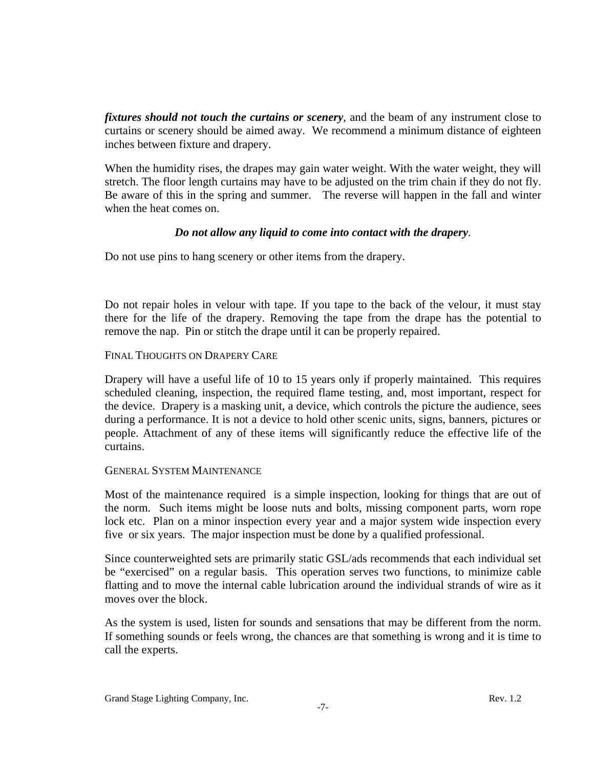*fixtures should not touch the curtains or scenery*, and the beam of any instrument close to curtains or scenery should be aimed away. We recommend a minimum distance of eighteen inches between fixture and drapery.

When the humidity rises, the drapes may gain water weight. With the water weight, they will stretch. The floor length curtains may have to be adjusted on the trim chain if they do not fly. Be aware of this in the spring and summer. The reverse will happen in the fall and winter when the heat comes on.

## *Do not allow any liquid to come into contact with the drapery*.

Do not use pins to hang scenery or other items from the drapery.

Do not repair holes in velour with tape. If you tape to the back of the velour, it must stay there for the life of the drapery. Removing the tape from the drape has the potential to remove the nap. Pin or stitch the drape until it can be properly repaired.

## FINAL THOUGHTS ON DRAPERY CARE

Drapery will have a useful life of 10 to 15 years only if properly maintained. This requires scheduled cleaning, inspection, the required flame testing, and, most important, respect for the device. Drapery is a masking unit, a device, which controls the picture the audience, sees during a performance. It is not a device to hold other scenic units, signs, banners, pictures or people. Attachment of any of these items will significantly reduce the effective life of the curtains.

## GENERAL SYSTEM MAINTENANCE

Most of the maintenance required is a simple inspection, looking for things that are out of the norm. Such items might be loose nuts and bolts, missing component parts, worn rope lock etc. Plan on a minor inspection every year and a major system wide inspection every five or six years. The major inspection must be done by a qualified professional.

Since counterweighted sets are primarily static GSL/ads recommends that each individual set be "exercised" on a regular basis. This operation serves two functions, to minimize cable flatting and to move the internal cable lubrication around the individual strands of wire as it moves over the block.

As the system is used, listen for sounds and sensations that may be different from the norm. If something sounds or feels wrong, the chances are that something is wrong and it is time to call the experts.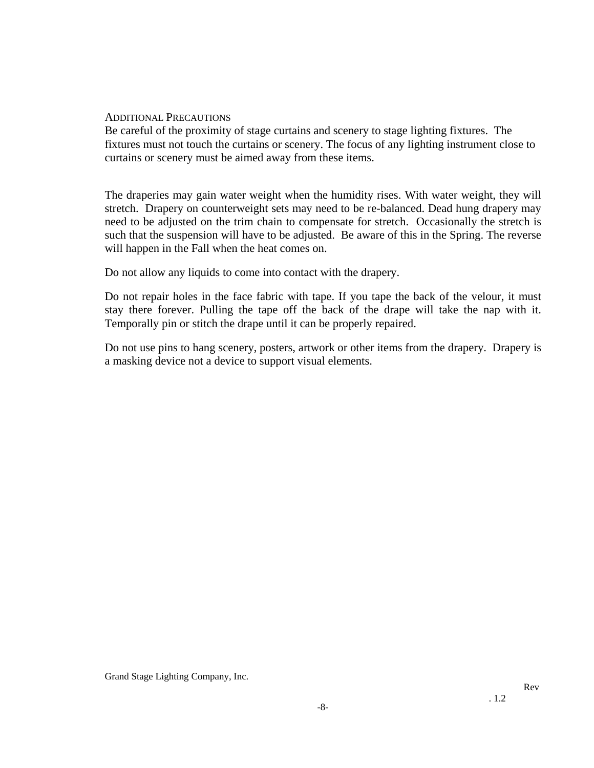## ADDITIONAL PRECAUTIONS

Be careful of the proximity of stage curtains and scenery to stage lighting fixtures. The fixtures must not touch the curtains or scenery. The focus of any lighting instrument close to curtains or scenery must be aimed away from these items.

The draperies may gain water weight when the humidity rises. With water weight, they will stretch. Drapery on counterweight sets may need to be re-balanced. Dead hung drapery may need to be adjusted on the trim chain to compensate for stretch. Occasionally the stretch is such that the suspension will have to be adjusted. Be aware of this in the Spring. The reverse will happen in the Fall when the heat comes on.

Do not allow any liquids to come into contact with the drapery.

Do not repair holes in the face fabric with tape. If you tape the back of the velour, it must stay there forever. Pulling the tape off the back of the drape will take the nap with it. Temporally pin or stitch the drape until it can be properly repaired.

Do not use pins to hang scenery, posters, artwork or other items from the drapery. Drapery is a masking device not a device to support visual elements.

Grand Stage Lighting Company, Inc.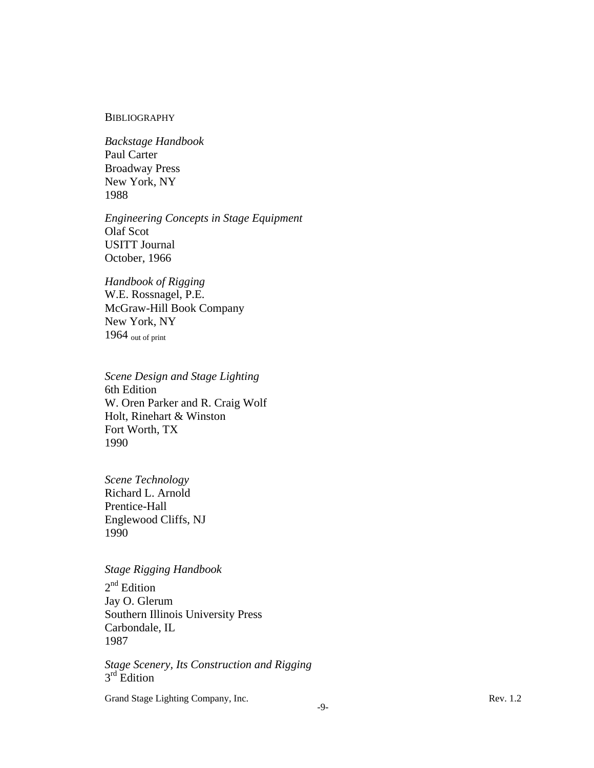#### **BIBLIOGRAPHY**

*Backstage Handbook* Paul Carter Broadway Press New York, NY 1988

*Engineering Concepts in Stage Equipment* Olaf Scot USITT Journal October, 1966

*Handbook of Rigging* W.E. Rossnagel, P.E. McGraw-Hill Book Company New York, NY  $1964$  out of print

*Scene Design and Stage Lighting* 6th Edition W. Oren Parker and R. Craig Wolf Holt, Rinehart & Winston Fort Worth, TX 1990

*Scene Technology* Richard L. Arnold Prentice-Hall Englewood Cliffs, NJ 1990

# *Stage Rigging Handbook*

2<sup>nd</sup> Edition Jay O. Glerum Southern Illinois University Press Carbondale, IL 1987

*Stage Scenery, Its Construction and Rigging*  $3<sup>rd</sup>$  Edition

Grand Stage Lighting Company, Inc. Rev. 1.2